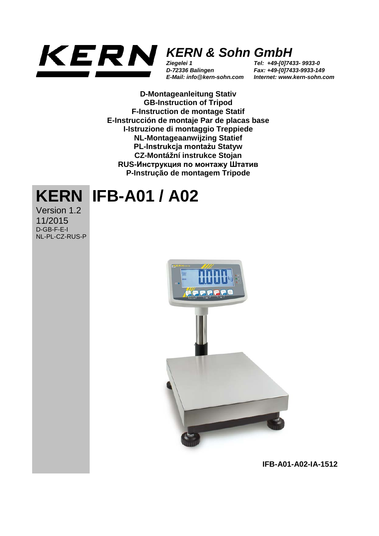

## *KERN & Sohn GmbH*

*Ziegelei 1 D-72336 Balingen E-Mail: info@kern-sohn.com* *Tel: +49-[0]7433- 9933-0 Fax: +49-[0]7433-9933-149 Internet: www.kern-sohn.com*

**D-Montageanleitung Stativ GB-Instruction of Tripod F-Instruction de montage Statif E-Instrucción de montaje Par de placas base I-Istruzione di montaggio Treppiede NL-Montageaanwijzing Statief PL-Instrukcja montażu Statyw CZ-Montážní instrukce Stojan RUS-Инструкция по монтажу Штатив P-Instrução de montagem Tripode**

## **KERN IFB-A01 / A02**

Version 1.2 11/2015 D-GB-F-E-I NL-PL-CZ-RUS-P



**IFB-A01-A02-IA-1512**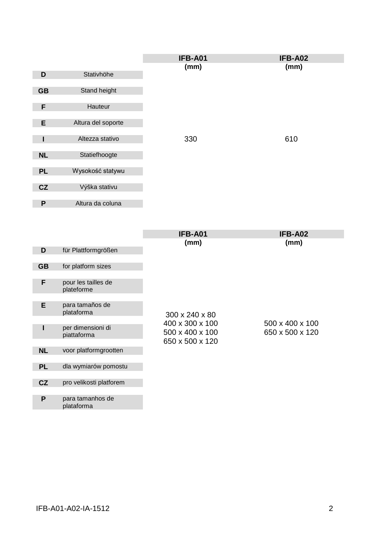|              |                    | IFB-A01 | IFB-A02 |
|--------------|--------------------|---------|---------|
|              |                    | (mm)    | (mm)    |
| D            | Stativhöhe         |         |         |
|              |                    |         |         |
| <b>GB</b>    | Stand height       |         |         |
|              |                    |         |         |
| F            | Hauteur            |         |         |
|              |                    |         |         |
| E            | Altura del soporte |         |         |
|              |                    |         |         |
|              | Altezza stativo    | 330     | 610     |
|              |                    |         |         |
| <b>NL</b>    | Statiefhoogte      |         |         |
|              |                    |         |         |
| <b>PL</b>    | Wysokość statywu   |         |         |
|              |                    |         |         |
| CZ           | Výška stativu      |         |         |
|              |                    |         |         |
| $\mathsf{P}$ | Altura da coluna   |         |         |

|           |                                   | <b>IFB-A01</b>  | IFB-A02         |
|-----------|-----------------------------------|-----------------|-----------------|
|           |                                   | (mm)            | (mm)            |
| D         | für Plattformgrößen               |                 |                 |
|           |                                   |                 |                 |
| <b>GB</b> | for platform sizes                |                 |                 |
|           |                                   |                 |                 |
| F         | pour les tailles de<br>plateforme |                 |                 |
|           |                                   |                 |                 |
| E         | para tamaños de<br>plataforma     | 300 x 240 x 80  |                 |
|           |                                   |                 |                 |
| ı         | per dimensioni di                 | 400 x 300 x 100 | 500 x 400 x 100 |
|           | piattaforma                       | 500 x 400 x 100 | 650 x 500 x 120 |
|           |                                   | 650 x 500 x 120 |                 |
| <b>NL</b> | voor platformgrootten             |                 |                 |
|           |                                   |                 |                 |
| <b>PL</b> | dla wymiarów pomostu              |                 |                 |
|           |                                   |                 |                 |
| CZ        | pro velikosti platforem           |                 |                 |
|           |                                   |                 |                 |
| P         | para tamanhos de                  |                 |                 |
|           | plataforma                        |                 |                 |